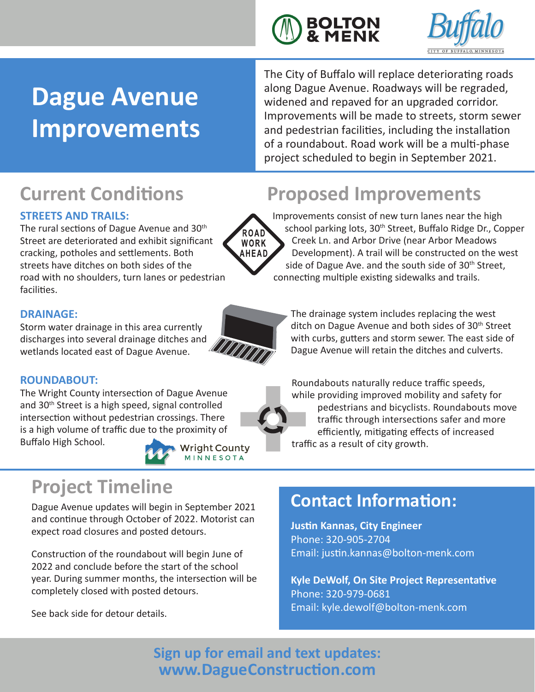



# **Dague Avenue Improvements**

The City of Buffalo will replace deteriorating roads along Dague Avenue. Roadways will be regraded, widened and repaved for an upgraded corridor. Improvements will be made to streets, storm sewer and pedestrian facilities, including the installation of a roundabout. Road work will be a multi-phase project scheduled to begin in September 2021.

### **STREETS AND TRAILS:**

The rural sections of Dague Avenue and 30<sup>th</sup> Street are deteriorated and exhibit significant cracking, potholes and settlements. Both streets have ditches on both sides of the road with no shoulders, turn lanes or pedestrian facilities.

#### **DRAINAGE:**

Storm water drainage in this area currently discharges into several drainage ditches and wetlands located east of Dague Avenue.



**ROAD** WORK **AHEAD** 

### **ROUNDABOUT:**

The Wright County intersection of Dague Avenue and 30<sup>th</sup> Street is a high speed, signal controlled intersection without pedestrian crossings. There is a high volume of traffic due to the proximity of Buffalo High School.



**Wright County** MINNESOTA

## **Project Timeline**

Dague Avenue updates will begin in September 2021 and continue through October of 2022. Motorist can expect road closures and posted detours.

Construction of the roundabout will begin June of 2022 and conclude before the start of the school year. During summer months, the intersection will be completely closed with posted detours.

See back side for detour details.

## **Current Conditions Proposed Improvements**

Improvements consist of new turn lanes near the high school parking lots, 30<sup>th</sup> Street, Buffalo Ridge Dr., Copper Creek Ln. and Arbor Drive (near Arbor Meadows Development). A trail will be constructed on the west side of Dague Ave. and the south side of 30<sup>th</sup> Street, connecting multiple existing sidewalks and trails.

The drainage system includes replacing the west ditch on Dague Avenue and both sides of 30<sup>th</sup> Street with curbs, gutters and storm sewer. The east side of Dague Avenue will retain the ditches and culverts.

Roundabouts naturally reduce traffic speeds, while providing improved mobility and safety for pedestrians and bicyclists. Roundabouts move traffic through intersections safer and more efficiently, mitigating effects of increased

traffic as a result of city growth.

## **Contact Information:**

**Justin Kannas, City Engineer**  Phone: 320-905-2704 Email: justin.kannas@bolton-menk.com

**Kyle DeWolf, On Site Project Representative** Phone: 320-979-0681 Email: kyle.dewolf@bolton-menk.com

**Sign up for email and text updates: www.DagueConstruction.com**